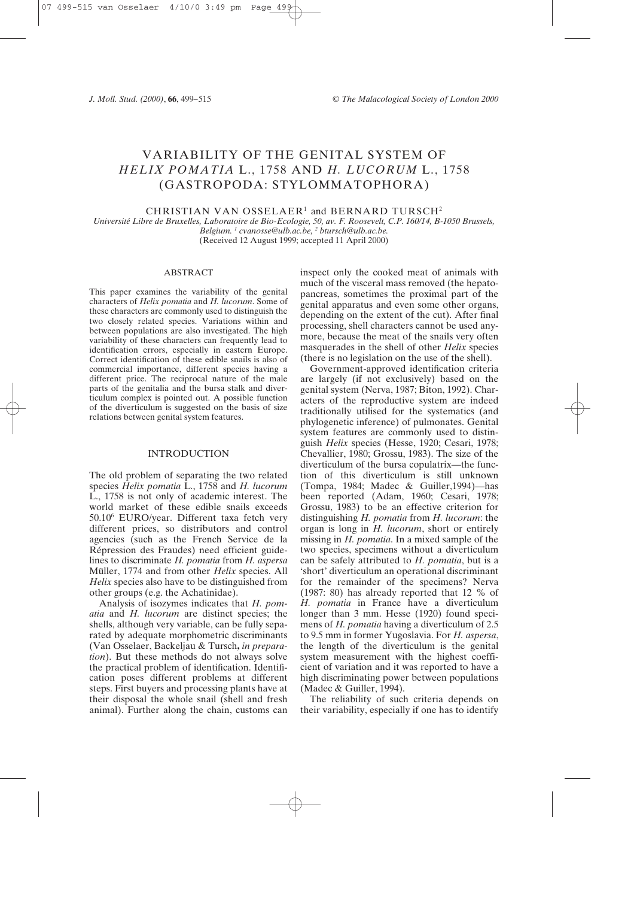# VARIABILITY OF THE GENITAL SYSTEM OF *HELIX POMATIA* L., 1758 AND *H. LUCORUM* L., 1758 (GASTROPODA: STYLOMMATOPHORA)

CHRISTIAN VAN OSSELAER<sup>1</sup> and BERNARD TURSCH<sup>2</sup>

*Université Libre de Bruxelles, Laboratoire de Bio-Ecologie, 50, av. F. Roosevelt, C.P. 160/14, B-1050 Brussels, Belgium. 1 cvanosse@ulb.ac.be, 2 btursch@ulb.ac.be.* (Received 12 August 1999; accepted 11 April 2000)

#### ABSTRACT

This paper examines the variability of the genital characters of *Helix pomatia* and *H. lucorum*. Some of these characters are commonly used to distinguish the two closely related species. Variations within and between populations are also investigated. The high variability of these characters can frequently lead to identification errors, especially in eastern Europe. Correct identification of these edible snails is also of commercial importance, different species having a different price. The reciprocal nature of the male parts of the genitalia and the bursa stalk and diverticulum complex is pointed out. A possible function of the diverticulum is suggested on the basis of size relations between genital system features.

# **INTRODUCTION**

The old problem of separating the two related species *Helix pomatia* L., 1758 and *H. lucorum* L., 1758 is not only of academic interest. The world market of these edible snails exceeds 50.106 EURO/year. Different taxa fetch very different prices, so distributors and control agencies (such as the French Service de la Répression des Fraudes) need efficient guidelines to discriminate *H. pomatia* from *H. aspersa* Müller, 1774 and from other *Helix* species. All *Helix* species also have to be distinguished from other groups (e.g. the Achatinidae).

Analysis of isozymes indicates that *H. pomatia* and *H. lucorum* are distinct species; the shells, although very variable, can be fully separated by adequate morphometric discriminants (Van Osselaer, Backeljau & Tursch**,** *in preparation*). But these methods do not always solve the practical problem of identification. Identification poses different problems at different steps. First buyers and processing plants have at their disposal the whole snail (shell and fresh animal). Further along the chain, customs can

inspect only the cooked meat of animals with much of the visceral mass removed (the hepatopancreas, sometimes the proximal part of the genital apparatus and even some other organs, depending on the extent of the cut). After final processing, shell characters cannot be used anymore, because the meat of the snails very often masquerades in the shell of other *Helix* species (there is no legislation on the use of the shell).

Government-approved identification criteria are largely (if not exclusively) based on the genital system (Nerva, 1987; Biton, 1992). Characters of the reproductive system are indeed traditionally utilised for the systematics (and phylogenetic inference) of pulmonates. Genital system features are commonly used to distinguish *Helix* species (Hesse, 1920; Cesari, 1978; Chevallier, 1980; Grossu, 1983). The size of the diverticulum of the bursa copulatrix—the function of this diverticulum is still unknown (Tompa, 1984; Madec & Guiller,1994)—has been reported (Adam, 1960; Cesari, 1978; Grossu, 1983) to be an effective criterion for distinguishing *H. pomatia* from *H. lucorum*: the organ is long in *H. lucorum*, short or entirely missing in *H. pomatia*. In a mixed sample of the two species, specimens without a diverticulum can be safely attributed to *H. pomatia*, but is a 'short' diverticulum an operational discriminant for the remainder of the specimens? Nerva (1987: 80) has already reported that 12 % of *H. pomatia* in France have a diverticulum longer than 3 mm. Hesse (1920) found specimens of *H. pomatia* having a diverticulum of 2.5 to 9.5 mm in former Yugoslavia. For *H. aspersa*, the length of the diverticulum is the genital system measurement with the highest coefficient of variation and it was reported to have a high discriminating power between populations (Madec & Guiller, 1994).

The reliability of such criteria depends on their variability, especially if one has to identify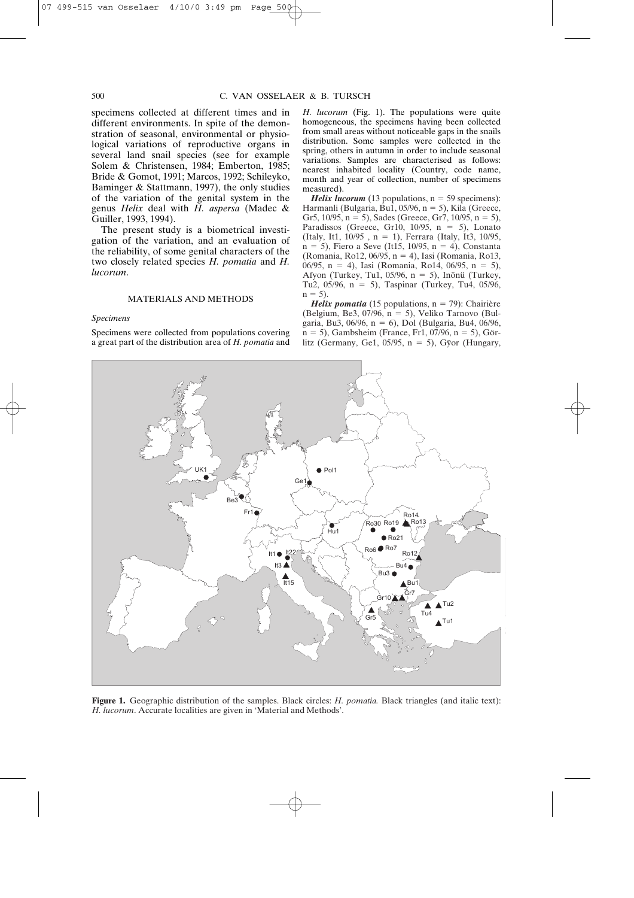specimens collected at different times and in different environments. In spite of the demonstration of seasonal, environmental or physiological variations of reproductive organs in several land snail species (see for example Solem & Christensen, 1984; Emberton, 1985; Bride & Gomot, 1991; Marcos, 1992; Schileyko, Baminger & Stattmann, 1997), the only studies of the variation of the genital system in the genus *Helix* deal with *H. aspersa* (Madec & Guiller, 1993, 1994).

The present study is a biometrical investigation of the variation, and an evaluation of the reliability, of some genital characters of the two closely related species *H. pomatia* and *H. lucorum*.

## MATERIALS AND METHODS

#### *Specimens*

Specimens were collected from populations covering a great part of the distribution area of *H. pomatia* and

*H. lucorum* (Fig. 1). The populations were quite homogeneous, the specimens having been collected from small areas without noticeable gaps in the snails distribution. Some samples were collected in the spring, others in autumn in order to include seasonal variations. Samples are characterised as follows: nearest inhabited locality (Country, code name, month and year of collection, number of specimens measured).

**Helix lucorum** (13 populations, n = 59 specimens): Harmanli (Bulgaria, Bu1, 05/96,  $n = 5$ ), Kila (Greece, Gr5,  $10/95$ ,  $n = 5$ ), Sades (Greece, Gr7,  $10/95$ ,  $n = 5$ ), Paradissos (Greece, Gr10, 10/95,  $n = 5$ ), Lonato (Italy, It1,  $10/95$ , n = 1), Ferrara (Italy, It3,  $10/95$ ,  $n = 5$ ), Fiero a Seve (It15, 10/95,  $n = 4$ ), Constanta (Romania, Ro12, 06/95, n - 4), Iasi (Romania, Ro13, 06/95, n = 4), Iasi (Romania, Ro14, 06/95, n = 5), Afyon (Turkey, Tu1, 05/96,  $n = 5$ ), Inönü (Turkey, Tu2,  $05/96$ , n = 5), Taspinar (Turkey, Tu4,  $05/96$ ,  $n = 5$ ).

*Helix pomatia* (15 populations, n = 79): Chairière (Belgium, Be3, 07/96,  $n = 5$ ), Veliko Tarnovo (Bulgaria, Bu3, 06/96, n - 6), Dol (Bulgaria, Bu4, 06/96, n - 5), Gambsheim (France, Fr1, 07/96, n - 5), Görlitz (Germany, Ge1, 05/95,  $n = 5$ ), Gÿor (Hungary,



**Figure 1.** Geographic distribution of the samples. Black circles: *H. pomatia.* Black triangles (and italic text): *H. lucorum*. Accurate localities are given in 'Material and Methods'.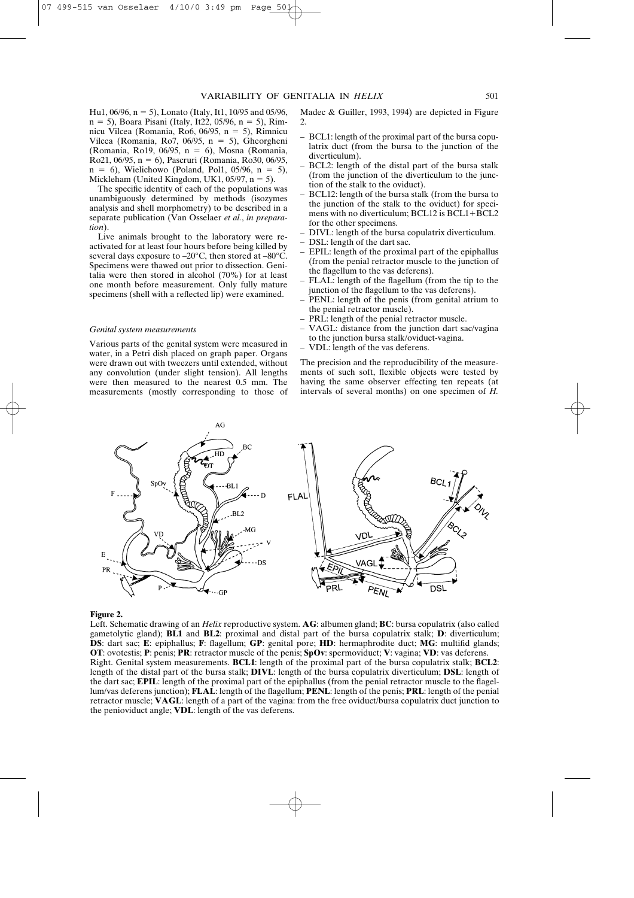Hu1, 06/96, n - 5), Lonato (Italy, It1, 10/95 and 05/96, n - 5), Boara Pisani (Italy, It22, 05/96, n - 5), Rimnicu Vilcea (Romania, Ro6, 06/95, n = 5), Rimnicu Vilcea (Romania, Ro7, 06/95,  $n = 5$ ), Gheorgheni (Romania, Ro19, 06/95, n = 6), Mosna (Romania, Ro21, 06/95, n - 6), Pascruri (Romania, Ro30, 06/95,  $n = 6$ ), Wielichowo (Poland, Pol1, 05/96,  $n = 5$ ), Mickleham (United Kingdom, UK1,  $05/97$ , n = 5).

The specific identity of each of the populations was unambiguously determined by methods (isozymes analysis and shell morphometry) to be described in a separate publication (Van Osselaer *et al.*, *in preparation*).

Live animals brought to the laboratory were reactivated for at least four hours before being killed by several days exposure to –20°C, then stored at –80°C. Specimens were thawed out prior to dissection. Genitalia were then stored in alcohol (70%) for at least one month before measurement. Only fully mature specimens (shell with a reflected lip) were examined.

#### *Genital system measurements*

Various parts of the genital system were measured in water, in a Petri dish placed on graph paper. Organs were drawn out with tweezers until extended, without any convolution (under slight tension). All lengths were then measured to the nearest 0.5 mm. The measurements (mostly corresponding to those of

Madec & Guiller, 1993, 1994) are depicted in Figure 2.

- BCL1: length of the proximal part of the bursa copulatrix duct (from the bursa to the junction of the diverticulum).
- BCL2: length of the distal part of the bursa stalk (from the junction of the diverticulum to the junction of the stalk to the oviduct).
- BCL12: length of the bursa stalk (from the bursa to the junction of the stalk to the oviduct) for specimens with no diverticulum;  $BCL12$  is  $BCL1 + BCL2$ for the other specimens.
- DIVL: length of the bursa copulatrix diverticulum.
- DSL: length of the dart sac.
- EPIL: length of the proximal part of the epiphallus (from the penial retractor muscle to the junction of the flagellum to the vas deferens).
- FLAL: length of the flagellum (from the tip to the junction of the flagellum to the vas deferens).
- PENL: length of the penis (from genital atrium to the penial retractor muscle).
- PRL: length of the penial retractor muscle.
- VAGL: distance from the junction dart sac/vagina to the junction bursa stalk/oviduct-vagina.
- VDL: length of the vas deferens.

The precision and the reproducibility of the measurements of such soft, flexible objects were tested by having the same observer effecting ten repeats (at intervals of several months) on one specimen of *H.*



#### **Figure 2.**

Left. Schematic drawing of an *Helix* reproductive system. **AG**: albumen gland; **BC**: bursa copulatrix (also called gametolytic gland); **BL1** and **BL2**: proximal and distal part of the bursa copulatrix stalk; **D**: diverticulum; **DS**: dart sac; **E**: epiphallus; **F**: flagellum; **GP**: genital pore; **HD**: hermaphrodite duct; **MG**: multifid glands; **OT**: ovotestis; **P**: penis; **PR**: retractor muscle of the penis; **SpOv**: spermoviduct; **V**: vagina; **VD**: vas deferens. Right. Genital system measurements. **BCL1**: length of the proximal part of the bursa copulatrix stalk; **BCL2**: length of the distal part of the bursa stalk; **DIVL**: length of the bursa copulatrix diverticulum; **DSL**: length of the dart sac; **EPIL**: length of the proximal part of the epiphallus (from the penial retractor muscle to the flagellum/vas deferens junction); **FLAL**: length of the flagellum; **PENL**: length of the penis; **PRL**: length of the penial retractor muscle; **VAGL**: length of a part of the vagina: from the free oviduct/bursa copulatrix duct junction to the penioviduct angle; **VDL**: length of the vas deferens.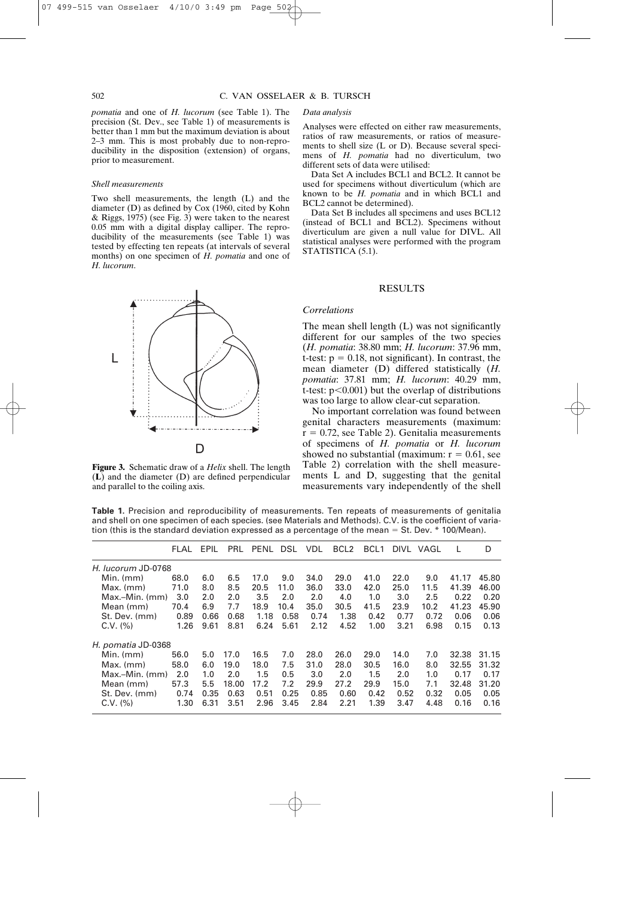*pomatia* and one of *H. lucorum* (see Table 1). The precision (St. Dev., see Table 1) of measurements is better than 1 mm but the maximum deviation is about 2–3 mm. This is most probably due to non-reproducibility in the disposition (extension) of organs, prior to measurement.

#### *Shell measurements*

Two shell measurements, the length (L) and the diameter (D) as defined by Cox (1960, cited by Kohn & Riggs, 1975) (see Fig. 3) were taken to the nearest 0.05 mm with a digital display calliper. The reproducibility of the measurements (see Table 1) was tested by effecting ten repeats (at intervals of several months) on one specimen of *H. pomatia* and one of *H. lucorum*.



**Figure 3.** Schematic draw of a *Helix* shell. The length (**L**) and the diameter (D) are defined perpendicular and parallel to the coiling axis.

#### *Data analysis*

Analyses were effected on either raw measurements, ratios of raw measurements, or ratios of measurements to shell size (L or D). Because several specimens of *H. pomatia* had no diverticulum, two different sets of data were utilised:

Data Set A includes BCL1 and BCL2. It cannot be used for specimens without diverticulum (which are known to be *H. pomatia* and in which BCL1 and BCL2 cannot be determined).

Data Set B includes all specimens and uses BCL12 (instead of BCL1 and BCL2). Specimens without diverticulum are given a null value for DIVL. All statistical analyses were performed with the program STATISTICA<sup>(5.1)</sup>.

# RESULTS

#### *Correlations*

The mean shell length (L) was not significantly different for our samples of the two species (*H. pomatia*: 38.80 mm; *H. lucorum*: 37.96 mm, t-test:  $p = 0.18$ , not significant). In contrast, the mean diameter (D) differed statistically (*H. pomatia*: 37.81 mm; *H. lucorum*: 40.29 mm, t-test:  $p<0.001$ ) but the overlap of distributions was too large to allow clear-cut separation.

No important correlation was found between genital characters measurements (maximum:  $r = 0.72$ , see Table 2). Genitalia measurements of specimens of *H. pomatia* or *H. lucorum* showed no substantial (maximum:  $r = 0.61$ , see Table 2) correlation with the shell measurements L and D, suggesting that the genital measurements vary independently of the shell

**Table 1.** Precision and reproducibility of measurements. Ten repeats of measurements of genitalia and shell on one specimen of each species. (see Materials and Methods). C.V. is the coefficient of variation (this is the standard deviation expressed as a percentage of the mean - St. Dev. \* 100/Mean).

|                    | FLAL | EPIL | PRL   | PENL | DSL  | <b>VDL</b> | BCL <sub>2</sub> | BCL <sub>1</sub> | DIVL | VAGL |       | D     |
|--------------------|------|------|-------|------|------|------------|------------------|------------------|------|------|-------|-------|
| H. lucorum JD-0768 |      |      |       |      |      |            |                  |                  |      |      |       |       |
| Min. (mm)          | 68.0 | 6.0  | 6.5   | 17.0 | 9.0  | 34.0       | 29.0             | 41.0             | 22.0 | 9.0  | 41.17 | 45.80 |
| $Max.$ (mm)        | 71.0 | 8.0  | 8.5   | 20.5 | 11.0 | 36.0       | 33.0             | 42.0             | 25.0 | 11.5 | 41.39 | 46.00 |
| $Max-Min.$ (mm)    | 3.0  | 2.0  | 2.0   | 3.5  | 2.0  | 2.0        | 4.0              | 1.0              | 3.0  | 2.5  | 0.22  | 0.20  |
| Mean (mm)          | 70.4 | 6.9  | 7.7   | 18.9 | 10.4 | 35.0       | 30.5             | 41.5             | 23.9 | 10.2 | 41.23 | 45.90 |
| St. Dev. (mm)      | 0.89 | 0.66 | 0.68  | 1.18 | 0.58 | 0.74       | 1.38             | 0.42             | 0.77 | 0.72 | 0.06  | 0.06  |
| C.V. (%)           | 1.26 | 9.61 | 8.81  | 6.24 | 5.61 | 2.12       | 4.52             | 1.00             | 3.21 | 6.98 | 0.15  | 0.13  |
| H. pomatia JD-0368 |      |      |       |      |      |            |                  |                  |      |      |       |       |
| $Min.$ ( $mm$ )    | 56.0 | 5.0  | 17.0  | 16.5 | 7.0  | 28.0       | 26.0             | 29.0             | 14.0 | 7.0  | 32.38 | 31.15 |
| $Max.$ (mm)        | 58.0 | 6.0  | 19.0  | 18.0 | 7.5  | 31.0       | 28.0             | 30.5             | 16.0 | 8.0  | 32.55 | 31.32 |
| $Max-Min.$ (mm)    | 2.0  | 1.0  | 2.0   | 1.5  | 0.5  | 3.0        | 2.0              | 1.5              | 2.0  | 1.0  | 0.17  | 0.17  |
| Mean (mm)          | 57.3 | 5.5  | 18.00 | 17.2 | 7.2  | 29.9       | 27.2             | 29.9             | 15.0 | 7.1  | 32.48 | 31.20 |
| St. Dev. (mm)      | 0.74 | 0.35 | 0.63  | 0.51 | 0.25 | 0.85       | 0.60             | 0.42             | 0.52 | 0.32 | 0.05  | 0.05  |
| C.V. (%)           | 1.30 | 6.31 | 3.51  | 2.96 | 3.45 | 2.84       | 2.21             | 1.39             | 3.47 | 4.48 | 0.16  | 0.16  |
|                    |      |      |       |      |      |            |                  |                  |      |      |       |       |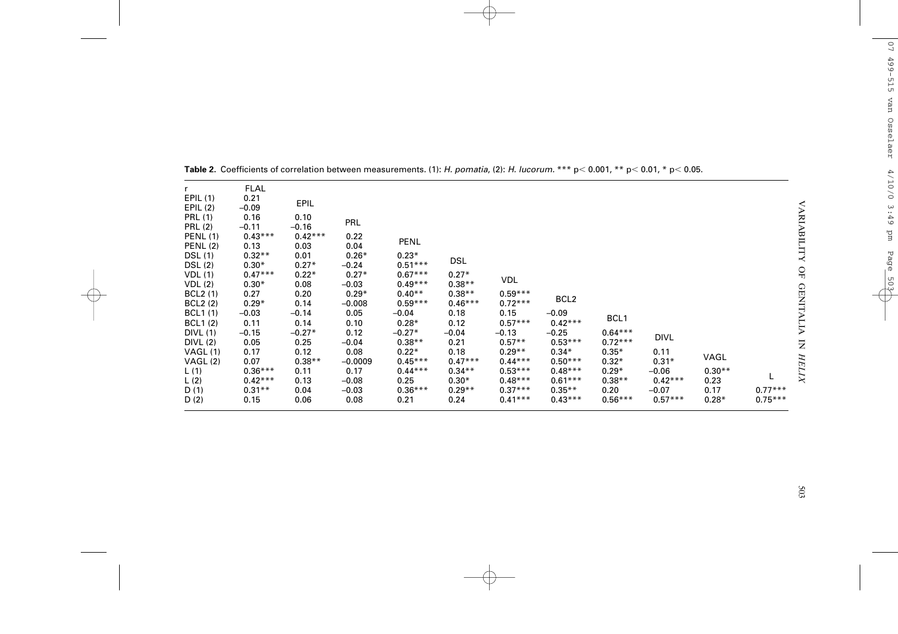| $0.59***$<br>$0.29*$<br>$0.40**$<br>$0.38**$<br><b>BCL2</b> (1)<br>0.20<br>0.27<br>BCL <sub>2</sub><br>$0.59***$<br>$0.46***$<br>$0.72***$<br><b>BCL2</b> (2)<br>$0.29*$<br>0.14<br>$-0.008$<br>0.15<br><b>BCL1</b> (1)<br>0.05<br>0.18<br>$-0.09$<br>$-0.03$<br>$-0.14$<br>$-0.04$<br>BCL <sub>1</sub><br>$0.57***$<br>$0.42***$<br><b>BCL1(2)</b><br>0.10<br>$0.28*$<br>0.12<br>0.11<br>0.14<br>0.12<br>$-0.27*$<br>$-0.25$<br>$0.64***$<br><b>DIVL (1)</b><br>$-0.15$<br>$-0.27*$<br>$-0.13$<br>$-0.04$<br>DIVL<br>$0.72***$<br>$0.38**$<br>DIVL(2)<br>0.25<br>0.21<br>$0.57**$<br>$0.53***$<br>0.05<br>$-0.04$<br>0.12<br>0.08<br>$0.22*$<br>$0.29**$<br>$0.34*$<br>$0.35*$<br>0.11<br>VAGL(1)<br>0.18<br>0.17<br>VAGL<br>$0.45***$<br>$0.38**$<br>$0.47***$<br>$0.44***$<br>$0.50***$<br>$0.32*$<br>$0.31*$<br>VAGL(2)<br>0.07<br>$-0.0009$<br>$0.36***$<br>0.11<br>$0.44***$<br>$0.34***$<br>$0.53***$<br>$0.48***$<br>$0.29*$<br>$0.30**$<br>L(1)<br>0.17<br>$-0.06$<br>$0.42***$<br>L(2)<br>$0.42***$<br>0.25<br>$0.30*$<br>$0.48***$<br>$0.61***$<br>$0.38**$<br>0.13<br>$-0.08$<br>0.23<br>$0.36***$<br>$0.29**$<br>D(1)<br>$0.31**$<br>$0.37***$<br>$0.35**$<br>0.17<br>$-0.03$<br>0.20<br>$-0.07$<br>0.04<br>$0.57***$<br>$0.41***$<br>$0.43***$<br>$0.56***$<br>D(2)<br>0.15<br>0.06<br>0.08<br>0.21<br>0.24<br>$0.28*$ | <b>PRL (2)</b><br><b>PENL (1)</b><br><b>PENL (2)</b><br><b>DSL</b> (1)<br>DSL (2)<br>VDL(1)<br>VDL(2) | $-0.11$<br>$-0.16$<br>$0.42***$<br>$0.43***$<br>0.13<br>0.03<br>$0.32**$<br>0.01<br>$0.30*$<br>$0.27*$<br>$0.47***$<br>$0.22*$<br>$0.30*$<br>0.08 | 0.22<br>PENL<br>0.04<br>$0.26*$<br>$0.23*$<br>$0.51***$<br>$-0.24$<br>$0.27*$<br>$0.67***$<br>$0.49***$<br>$-0.03$ | <b>DSL</b><br>$0.27*$<br>$0.38**$ | VDL |  |  |  |  | $0.77***$<br>$0.75***$ |
|--------------------------------------------------------------------------------------------------------------------------------------------------------------------------------------------------------------------------------------------------------------------------------------------------------------------------------------------------------------------------------------------------------------------------------------------------------------------------------------------------------------------------------------------------------------------------------------------------------------------------------------------------------------------------------------------------------------------------------------------------------------------------------------------------------------------------------------------------------------------------------------------------------------------------------------------------------------------------------------------------------------------------------------------------------------------------------------------------------------------------------------------------------------------------------------------------------------------------------------------------------------------------------------------------------------------------------------|-------------------------------------------------------------------------------------------------------|---------------------------------------------------------------------------------------------------------------------------------------------------|--------------------------------------------------------------------------------------------------------------------|-----------------------------------|-----|--|--|--|--|------------------------|
|--------------------------------------------------------------------------------------------------------------------------------------------------------------------------------------------------------------------------------------------------------------------------------------------------------------------------------------------------------------------------------------------------------------------------------------------------------------------------------------------------------------------------------------------------------------------------------------------------------------------------------------------------------------------------------------------------------------------------------------------------------------------------------------------------------------------------------------------------------------------------------------------------------------------------------------------------------------------------------------------------------------------------------------------------------------------------------------------------------------------------------------------------------------------------------------------------------------------------------------------------------------------------------------------------------------------------------------|-------------------------------------------------------------------------------------------------------|---------------------------------------------------------------------------------------------------------------------------------------------------|--------------------------------------------------------------------------------------------------------------------|-----------------------------------|-----|--|--|--|--|------------------------|

**Table 2.** Coefficients of correlation between measurements. (1): *H. pomatia*, (2): *H. lucorum.* \*\*\* p< 0.001, \*\* p< 0.01, \* p< 0.05.

 $\oplus$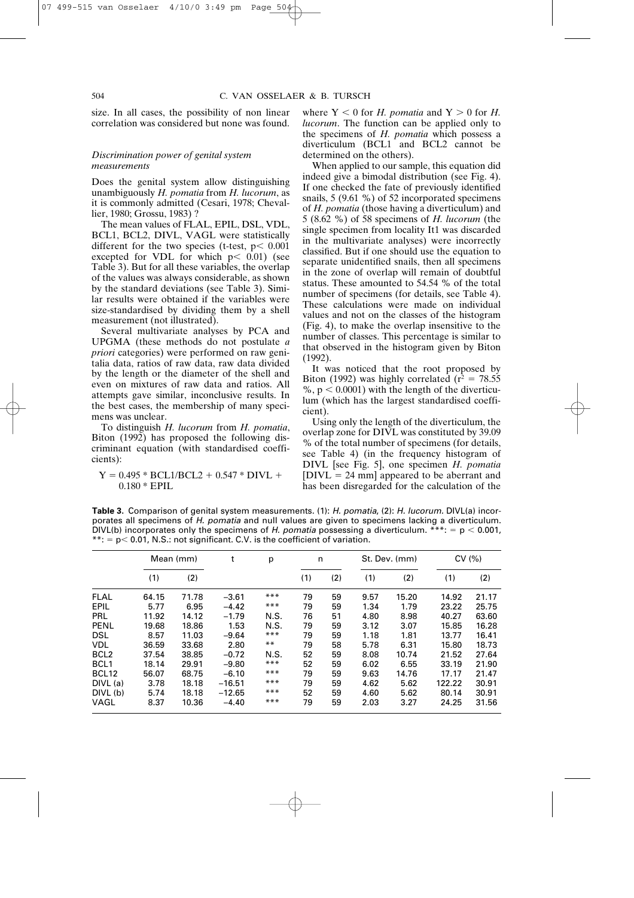size. In all cases, the possibility of non linear correlation was considered but none was found.

# *Discrimination power of genital system measurements*

Does the genital system allow distinguishing unambiguously *H. pomatia* from *H. lucorum*, as it is commonly admitted (Cesari, 1978; Chevallier, 1980; Grossu, 1983) ?

The mean values of FLAL, EPIL, DSL, VDL, BCL1, BCL2, DIVL, VAGL were statistically different for the two species (t-test,  $p < 0.001$ excepted for VDL for which  $p < 0.01$ ) (see Table 3). But for all these variables, the overlap of the values was always considerable, as shown by the standard deviations (see Table 3). Similar results were obtained if the variables were size-standardised by dividing them by a shell measurement (not illustrated).

Several multivariate analyses by PCA and UPGMA (these methods do not postulate *a priori* categories) were performed on raw genitalia data, ratios of raw data, raw data divided by the length or the diameter of the shell and even on mixtures of raw data and ratios. All attempts gave similar, inconclusive results. In the best cases, the membership of many specimens was unclear.

To distinguish *H. lucorum* from *H. pomatia*, Biton (1992) has proposed the following discriminant equation (with standardised coefficients):

 $Y = 0.495 * BCL1/BCL2 + 0.547 * DIVL +$  $0.180 * EPIL$ 

where  $Y < 0$  for *H. pomatia* and  $Y > 0$  for *H. lucorum*. The function can be applied only to the specimens of *H. pomatia* which possess a diverticulum (BCL1 and BCL2 cannot be determined on the others).

When applied to our sample, this equation did indeed give a bimodal distribution (see Fig. 4). If one checked the fate of previously identified snails, 5 (9.61 %) of 52 incorporated specimens of *H. pomatia* (those having a diverticulum) and 5 (8.62 %) of 58 specimens of *H. lucorum* (the single specimen from locality It1 was discarded in the multivariate analyses) were incorrectly classified. But if one should use the equation to separate unidentified snails, then all specimens in the zone of overlap will remain of doubtful status. These amounted to 54.54 % of the total number of specimens (for details, see Table 4). These calculations were made on individual values and not on the classes of the histogram (Fig. 4), to make the overlap insensitive to the number of classes. This percentage is similar to that observed in the histogram given by Biton (1992).

It was noticed that the root proposed by Biton (1992) was highly correlated ( $r^2 = 78.55$  $\%$ , p  $\leq 0.0001$ ) with the length of the diverticulum (which has the largest standardised coefficient).

Using only the length of the diverticulum, the overlap zone for DIVL was constituted by 39.09 % of the total number of specimens (for details, see Table 4) (in the frequency histogram of DIVL [see Fig. 5], one specimen *H. pomatia*  $[DIVL = 24$  mm] appeared to be aberrant and has been disregarded for the calculation of the

**Table 3.** Comparison of genital system measurements. (1): *H. pomatia*, (2): *H. lucorum.* DIVL(a) incorporates all specimens of *H. pomatia* and null values are given to specimens lacking a diverticulum. DIVL(b) incorporates only the specimens of *H. pomatia* possessing a diverticulum. \*\*\*: =  $p < 0.001$ ,  $**: p < 0.01$ , N.S.: not significant. C.V. is the coefficient of variation.

|                   | Mean (mm) |       | t        | n<br>p |     |     | St. Dev. (mm) | CV(%) |        |       |
|-------------------|-----------|-------|----------|--------|-----|-----|---------------|-------|--------|-------|
|                   | (1)       | (2)   |          |        | (1) | (2) | (1)           | (2)   | (1)    | (2)   |
| <b>FLAL</b>       | 64.15     | 71.78 | $-3.61$  | ***    | 79  | 59  | 9.57          | 15.20 | 14.92  | 21.17 |
| EPIL              | 5.77      | 6.95  | $-4.42$  | $***$  | 79  | 59  | 1.34          | 1.79  | 23.22  | 25.75 |
| PRL               | 11.92     | 14.12 | $-1.79$  | N.S.   | 76  | 51  | 4.80          | 8.98  | 40.27  | 63.60 |
| <b>PENL</b>       | 19.68     | 18.86 | 1.53     | N.S.   | 79  | 59  | 3.12          | 3.07  | 15.85  | 16.28 |
| <b>DSL</b>        | 8.57      | 11.03 | $-9.64$  | ***    | 79  | 59  | 1.18          | 1.81  | 13.77  | 16.41 |
| <b>VDL</b>        | 36.59     | 33.68 | 2.80     | $***$  | 79  | 58  | 5.78          | 6.31  | 15.80  | 18.73 |
| BCL <sub>2</sub>  | 37.54     | 38.85 | $-0.72$  | N.S.   | 52  | 59  | 8.08          | 10.74 | 21.52  | 27.64 |
| BCL <sub>1</sub>  | 18.14     | 29.91 | $-9.80$  | ***    | 52  | 59  | 6.02          | 6.55  | 33.19  | 21.90 |
| BCL <sub>12</sub> | 56.07     | 68.75 | $-6.10$  | ***    | 79  | 59  | 9.63          | 14.76 | 17.17  | 21.47 |
| DIVL (a)          | 3.78      | 18.18 | $-16.51$ | ***    | 79  | 59  | 4.62          | 5.62  | 122.22 | 30.91 |
| DIVL (b)          | 5.74      | 18.18 | $-12.65$ | ***    | 52  | 59  | 4.60          | 5.62  | 80.14  | 30.91 |
| VAGL              | 8.37      | 10.36 | $-4.40$  | ***    | 79  | 59  | 2.03          | 3.27  | 24.25  | 31.56 |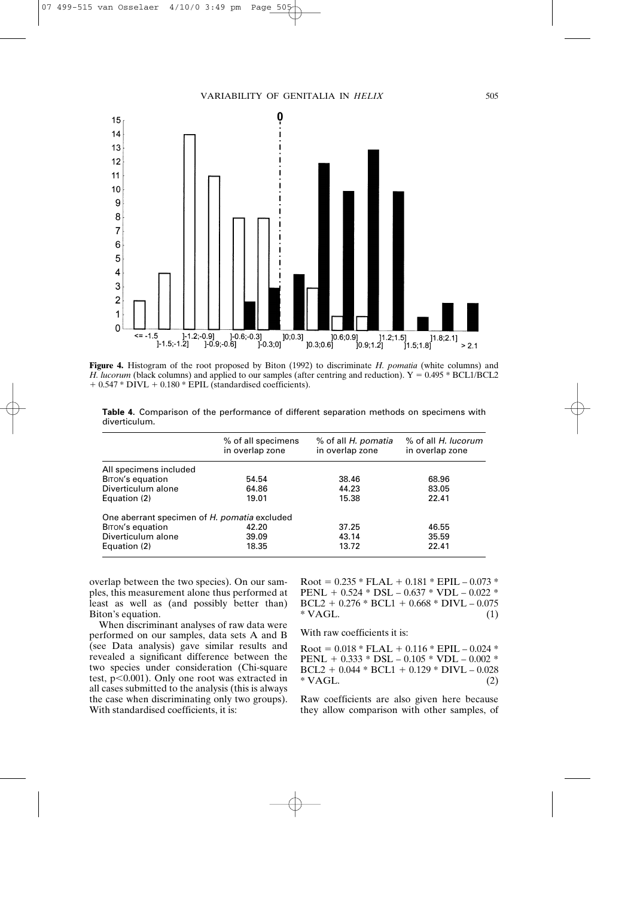

**Figure 4.** Histogram of the root proposed by Biton (1992) to discriminate *H. pomatia* (white columns) and *H. lucorum* (black columns) and applied to our samples (after centring and reduction).  $Y = 0.495 * BCL1/BCL2$  $+ 0.547 * DIVL + 0.180 * EPIL$  (standardised coefficients).

**Table 4.** Comparison of the performance of different separation methods on specimens with diverticulum.

|                                              | % of all specimens<br>in overlap zone | % of all H. pomatia<br>in overlap zone | % of all H. lucorum<br>in overlap zone |
|----------------------------------------------|---------------------------------------|----------------------------------------|----------------------------------------|
| All specimens included                       |                                       |                                        |                                        |
| <b>BITON's equation</b>                      | 54.54                                 | 38.46                                  | 68.96                                  |
| Diverticulum alone                           | 64.86                                 | 44.23                                  | 83.05                                  |
| Equation (2)                                 | 19.01                                 | 15.38                                  | 22.41                                  |
| One aberrant specimen of H. pomatia excluded |                                       |                                        |                                        |
| <b>BITON's equation</b>                      | 42.20                                 | 37.25                                  | 46.55                                  |
| Diverticulum alone                           | 39.09                                 | 43.14                                  | 35.59                                  |
| Equation (2)                                 | 18.35                                 | 13.72                                  | 22.41                                  |

overlap between the two species). On our samples, this measurement alone thus performed at least as well as (and possibly better than) Biton's equation.

When discriminant analyses of raw data were performed on our samples, data sets A and B (see Data analysis) gave similar results and revealed a significant difference between the two species under consideration (Chi-square test,  $p<0.001$ ). Only one root was extracted in all cases submitted to the analysis (this is always the case when discriminating only two groups). With standardised coefficients, it is:

 $Root = 0.235 * FLAL + 0.181 * EPIL - 0.073 *$ PENL +  $0.524 * DSL - 0.637 * VDL - 0.022 *$  $BCL2 + 0.276 * BCL1 + 0.668 * DIVL - 0.075$  $* \text{VAGL}$ . (1)

With raw coefficients it is:

 $Root = 0.018 * FLAL + 0.116 * EPIL - 0.024 *$ PENL +  $0.333 * DSL - 0.105 * VDL - 0.002 *$  $BCL2 + 0.044 * BCL1 + 0.129 * DIVL - 0.028$  $* \text{VAGL}$ . (2)

Raw coefficients are also given here because they allow comparison with other samples, of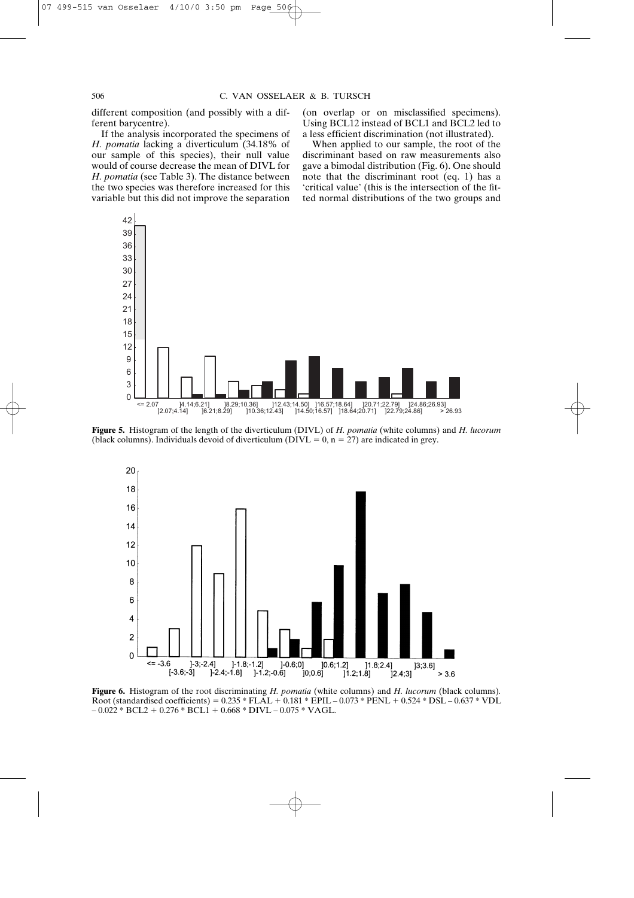different composition (and possibly with a different barycentre).

If the analysis incorporated the specimens of *H. pomatia* lacking a diverticulum (34.18% of our sample of this species), their null value would of course decrease the mean of DIVL for *H. pomatia* (see Table 3). The distance between the two species was therefore increased for this variable but this did not improve the separation (on overlap or on misclassified specimens). Using BCL12 instead of BCL1 and BCL2 led to a less efficient discrimination (not illustrated).

When applied to our sample, the root of the discriminant based on raw measurements also gave a bimodal distribution (Fig. 6). One should note that the discriminant root (eq. 1) has a 'critical value' (this is the intersection of the fitted normal distributions of the two groups and



**Figure 5.** Histogram of the length of the diverticulum (DIVL) of *H. pomatia* (white columns) and *H. lucorum* (black columns). Individuals devoid of diverticulum ( $DIVL = 0$ ,  $n = 27$ ) are indicated in grey.



**Figure 6.** Histogram of the root discriminating *H. pomatia* (white columns) and *H. lucorum* (black columns)*.* Root (standardised coefficients) =  $0.235 * FLAL + 0.181 * EPIL - 0.073 * PENL + 0.524 * DSL - 0.637 * VDL$  $-0.022 * BCL2 + 0.276 * BCL1 + 0.668 * DIVL - 0.075 * VAGL.$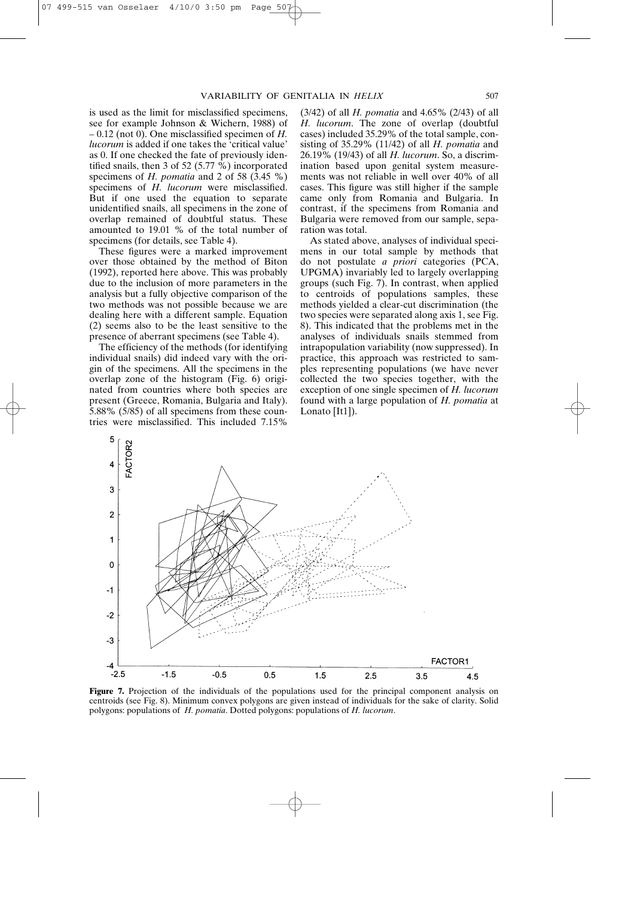is used as the limit for misclassified specimens, see for example Johnson & Wichern, 1988) of – 0.12 (not 0). One misclassified specimen of *H. lucorum* is added if one takes the 'critical value' as 0. If one checked the fate of previously identified snails, then 3 of 52 (5.77  $\%$ ) incorporated specimens of *H. pomatia* and 2 of 58 (3.45 %) specimens of *H. lucorum* were misclassified. But if one used the equation to separate unidentified snails, all specimens in the zone of overlap remained of doubtful status. These amounted to 19.01 % of the total number of specimens (for details, see Table 4).

These figures were a marked improvement over those obtained by the method of Biton (1992), reported here above. This was probably due to the inclusion of more parameters in the analysis but a fully objective comparison of the two methods was not possible because we are dealing here with a different sample. Equation (2) seems also to be the least sensitive to the presence of aberrant specimens (see Table 4).

The efficiency of the methods (for identifying individual snails) did indeed vary with the origin of the specimens. All the specimens in the overlap zone of the histogram (Fig. 6) originated from countries where both species are present (Greece, Romania, Bulgaria and Italy). 5.88% (5/85) of all specimens from these countries were misclassified. This included 7.15%

(3/42) of all *H. pomatia* and 4.65% (2/43) of all *H. lucorum*. The zone of overlap (doubtful cases) included 35.29% of the total sample, consisting of 35.29% (11/42) of all *H. pomatia* and 26.19% (19/43) of all *H. lucorum*. So, a discrimination based upon genital system measurements was not reliable in well over 40% of all cases. This figure was still higher if the sample came only from Romania and Bulgaria. In contrast, if the specimens from Romania and Bulgaria were removed from our sample, separation was total.

As stated above, analyses of individual specimens in our total sample by methods that do not postulate *a priori* categories (PCA, UPGMA) invariably led to largely overlapping groups (such Fig. 7). In contrast, when applied to centroids of populations samples, these methods yielded a clear-cut discrimination (the two species were separated along axis 1, see Fig. 8). This indicated that the problems met in the analyses of individuals snails stemmed from intrapopulation variability (now suppressed). In practice, this approach was restricted to samples representing populations (we have never collected the two species together, with the exception of one single specimen of *H. lucorum* found with a large population of *H. pomatia* at Lonato [It1]).



**Figure 7.** Projection of the individuals of the populations used for the principal component analysis on centroids (see Fig. 8). Minimum convex polygons are given instead of individuals for the sake of clarity. Solid polygons: populations of *H. pomatia*. Dotted polygons: populations of *H. lucorum*.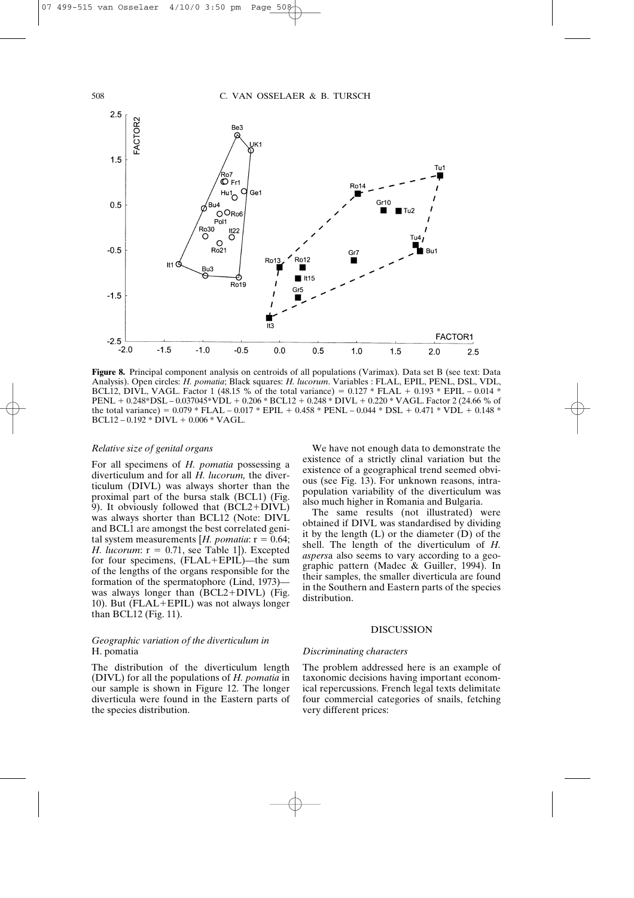

**Figure 8.** Principal component analysis on centroids of all populations (Varimax). Data set B (see text: Data Analysis). Open circles: *H. pomatia*; Black squares: *H. lucorum*. Variables : FLAL, EPIL, PENL, DSL, VDL, BCL12, DIVL, VAGL. Factor 1 (48.15 % of the total variance) =  $0.127 * FLAL + 0.193 * EPIL - 0.014 *$ PENL + 0.248\*DSL – 0.037045\*VDL + 0.206 \* BCL12 + 0.248 \* DIVL + 0.220 \* VAGL. Factor 2 (24.66 % of the total variance) =  $0.079 * FLAL - 0.017 * EPIL + 0.458 * PENL - 0.044 * DSL + 0.471 * VDL + 0.148 *$  $BCL12 - 0.192 * DIVL + 0.006 * VAGL.$ 

# *Relative size of genital organs*

For all specimens of *H. pomatia* possessing a diverticulum and for all *H. lucorum,* the diverticulum (DIVL) was always shorter than the proximal part of the bursa stalk (BCL1) (Fig. 9). It obviously followed that  $(BCL2+DIVL)$ was always shorter than BCL12 (Note: DIVL and BCL1 are amongst the best correlated genital system measurements [ $H.$  *pomatia*:  $r = 0.64$ ; *H. lucorum*:  $r = 0.71$ , see Table 1]). Excepted for four specimens, (FLAL+EPIL)—the sum of the lengths of the organs responsible for the formation of the spermatophore (Lind, 1973) was always longer than  $(BCL2+DIVL)$  (Fig. 10). But ( $FLAL+EPIL$ ) was not always longer than BCL12 (Fig. 11).

# *Geographic variation of the diverticulum in*  H. pomatia

The distribution of the diverticulum length (DIVL) for all the populations of *H. pomatia* in our sample is shown in Figure 12. The longer diverticula were found in the Eastern parts of the species distribution.

We have not enough data to demonstrate the existence of a strictly clinal variation but the existence of a geographical trend seemed obvious (see Fig. 13). For unknown reasons, intrapopulation variability of the diverticulum was also much higher in Romania and Bulgaria.

The same results (not illustrated) were obtained if DIVL was standardised by dividing it by the length (L) or the diameter (D) of the shell. The length of the diverticulum of *H. aspers*a also seems to vary according to a geographic pattern (Madec & Guiller, 1994). In their samples, the smaller diverticula are found in the Southern and Eastern parts of the species distribution.

# **DISCUSSION**

# *Discriminating characters*

The problem addressed here is an example of taxonomic decisions having important economical repercussions. French legal texts delimitate four commercial categories of snails, fetching very different prices: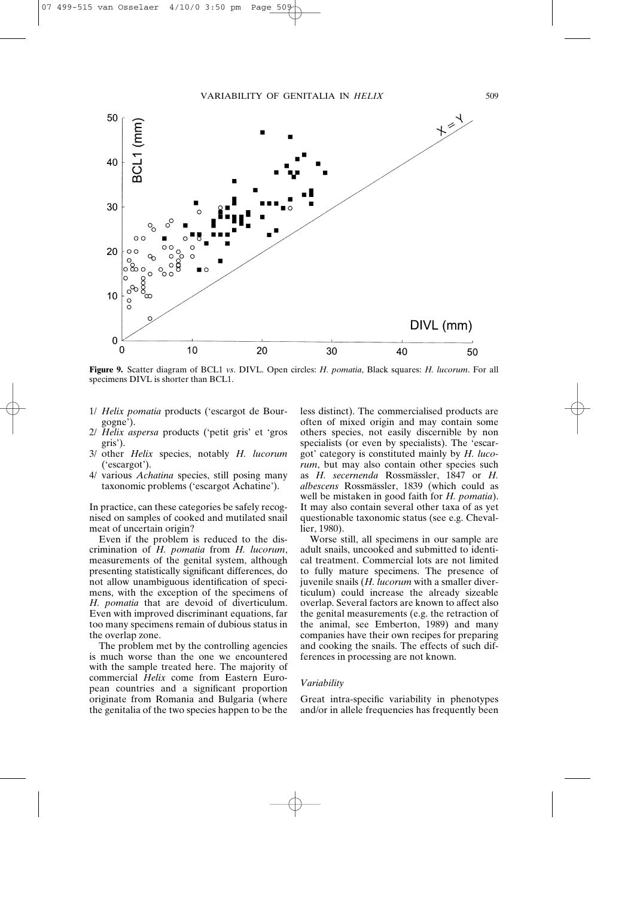

**Figure 9.** Scatter diagram of BCL1 *vs*. DIVL. Open circles: *H. pomatia*, Black squares: *H. lucorum*. For all specimens DIVL is shorter than BCL1.

- 1/ *Helix pomatia* products ('escargot de Bourgogne').
- 2/ *Helix aspersa* products ('petit gris' et 'gros gris').
- 3/ other *Helix* species, notably *H. lucorum* ('escargot').
- 4/ various *Achatina* species, still posing many taxonomic problems ('escargot Achatine').

In practice, can these categories be safely recognised on samples of cooked and mutilated snail meat of uncertain origin?

Even if the problem is reduced to the discrimination of *H. pomatia* from *H. lucorum*, measurements of the genital system, although presenting statistically significant differences, do not allow unambiguous identification of specimens, with the exception of the specimens of *H. pomatia* that are devoid of diverticulum. Even with improved discriminant equations, far too many specimens remain of dubious status in the overlap zone.

The problem met by the controlling agencies is much worse than the one we encountered with the sample treated here. The majority of commercial *Helix* come from Eastern European countries and a significant proportion originate from Romania and Bulgaria (where the genitalia of the two species happen to be the less distinct). The commercialised products are often of mixed origin and may contain some others species, not easily discernible by non specialists (or even by specialists). The 'escargot' category is constituted mainly by *H. lucorum*, but may also contain other species such as *H. secernenda* Rossmässler, 1847 or *H. albescens* Rossmässler, 1839 (which could as well be mistaken in good faith for *H. pomatia*). It may also contain several other taxa of as yet questionable taxonomic status (see e.g. Chevallier, 1980).

Worse still, all specimens in our sample are adult snails, uncooked and submitted to identical treatment. Commercial lots are not limited to fully mature specimens. The presence of juvenile snails (*H. lucorum* with a smaller diverticulum) could increase the already sizeable overlap. Several factors are known to affect also the genital measurements (e.g. the retraction of the animal, see Emberton, 1989) and many companies have their own recipes for preparing and cooking the snails. The effects of such differences in processing are not known.

### *Variability*

Great intra-specific variability in phenotypes and/or in allele frequencies has frequently been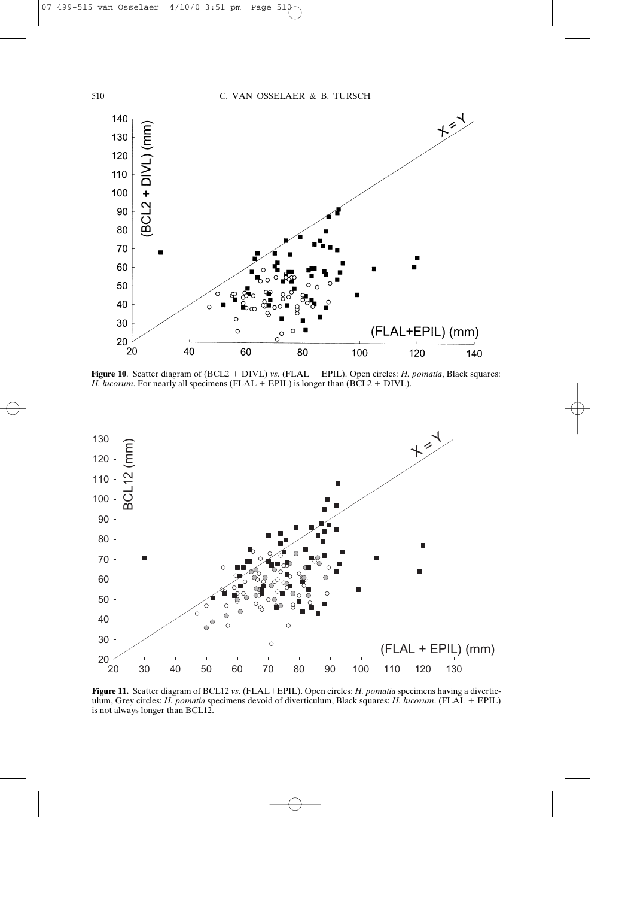

**Figure 10**. Scatter diagram of  $(BCL2 + DIVL)$  *vs.* (FLAL  $+ EPLL$ ). Open circles: *H. pomatia*, Black squares: *H. lucorum.* For nearly all specimens (FLAL  $+$  EPIL) is longer than (BCL2  $+$  DIVL).



**Figure 11.** Scatter diagram of BCL12 *vs*. (FLAL+EPIL). Open circles: *H. pomatia* specimens having a diverticulum, Grey circles: *H. pomatia* specimens devoid of diverticulum, Black squares: *H. lucorum*. (FLAL EPIL) is not always longer than BCL12.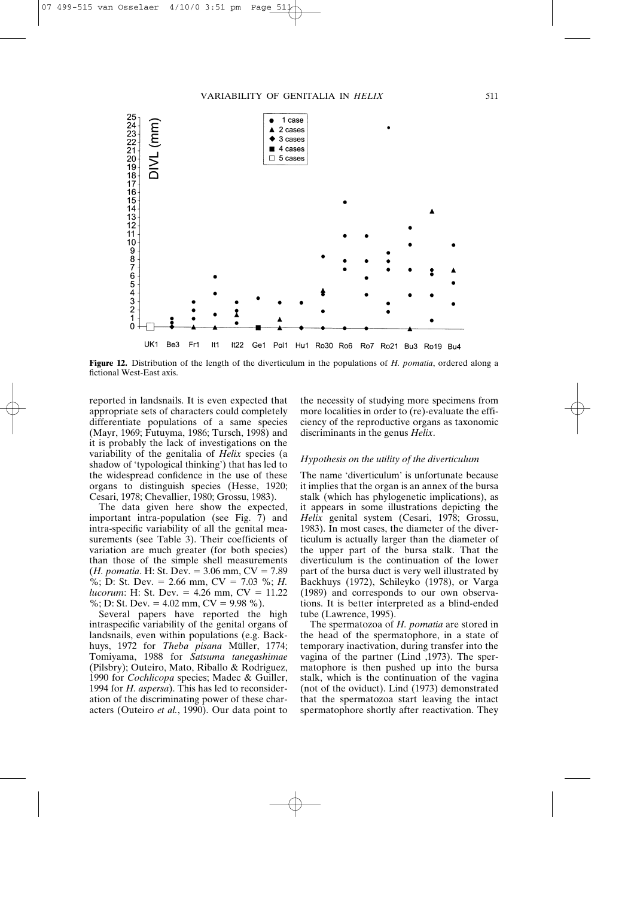

**Figure 12.** Distribution of the length of the diverticulum in the populations of *H. pomatia*, ordered along a fictional West-East axis.

reported in landsnails. It is even expected that appropriate sets of characters could completely differentiate populations of a same species (Mayr, 1969; Futuyma, 1986; Tursch, 1998) and it is probably the lack of investigations on the variability of the genitalia of *Helix* species (a shadow of 'typological thinking') that has led to the widespread confidence in the use of these organs to distinguish species (Hesse, 1920; Cesari, 1978; Chevallier, 1980; Grossu, 1983).

The data given here show the expected, important intra-population (see Fig. 7) and intra-specific variability of all the genital measurements (see Table 3). Their coefficients of variation are much greater (for both species) than those of the simple shell measurements  $(H. *ponential*. H: St. Dev. = 3.06 mm, CV = 7.89)$ %; D: St. Dev. = 2.66 mm,  $CV = 7.03$  %; *H*. *lucorum*: H: St. Dev. = 4.26 mm, CV = 11.22 %; D: St. Dev. =  $4.02$  mm, CV =  $9.98$  %).

Several papers have reported the high intraspecific variability of the genital organs of landsnails, even within populations (e.g. Backhuys, 1972 for *Theba pisana* Müller, 1774; Tomiyama, 1988 for *Satsuma tanegashimae* (Pilsbry); Outeiro, Mato, Riballo & Rodriguez, 1990 for *Cochlicopa* species; Madec & Guiller, 1994 for *H. aspersa*). This has led to reconsideration of the discriminating power of these characters (Outeiro *et al.*, 1990). Our data point to

the necessity of studying more specimens from more localities in order to (re)-evaluate the efficiency of the reproductive organs as taxonomic discriminants in the genus *Helix*.

# *Hypothesis on the utility of the diverticulum*

The name 'diverticulum' is unfortunate because it implies that the organ is an annex of the bursa stalk (which has phylogenetic implications), as it appears in some illustrations depicting the *Helix* genital system (Cesari, 1978; Grossu, 1983). In most cases, the diameter of the diverticulum is actually larger than the diameter of the upper part of the bursa stalk. That the diverticulum is the continuation of the lower part of the bursa duct is very well illustrated by Backhuys (1972), Schileyko (1978), or Varga (1989) and corresponds to our own observations. It is better interpreted as a blind-ended tube (Lawrence, 1995).

The spermatozoa of *H. pomatia* are stored in the head of the spermatophore, in a state of temporary inactivation, during transfer into the vagina of the partner (Lind ,1973). The spermatophore is then pushed up into the bursa stalk, which is the continuation of the vagina (not of the oviduct). Lind (1973) demonstrated that the spermatozoa start leaving the intact spermatophore shortly after reactivation. They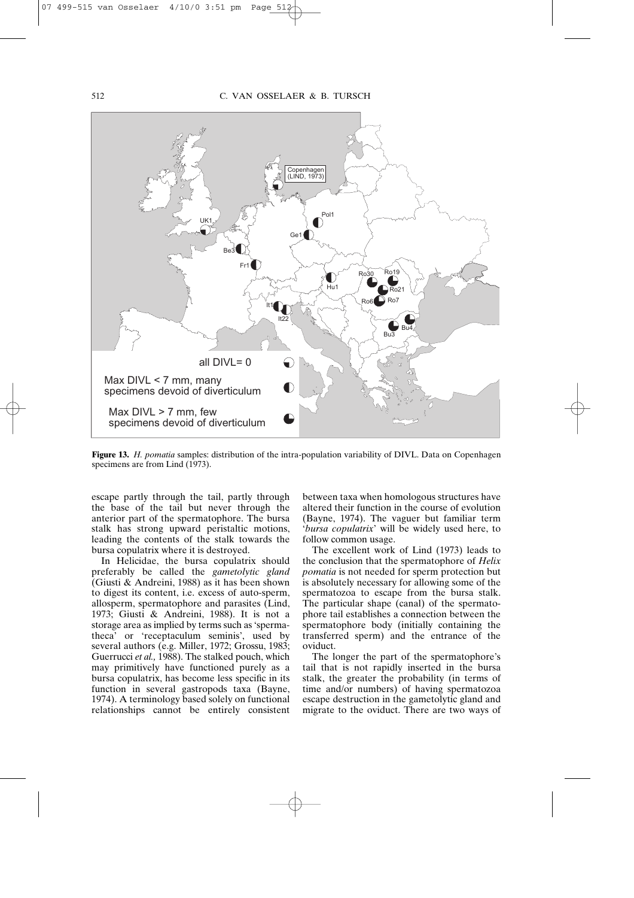

**Figure 13.** *H. pomatia* samples: distribution of the intra-population variability of DIVL. Data on Copenhagen specimens are from Lind (1973).

escape partly through the tail, partly through the base of the tail but never through the anterior part of the spermatophore. The bursa stalk has strong upward peristaltic motions, leading the contents of the stalk towards the bursa copulatrix where it is destroyed.

In Helicidae, the bursa copulatrix should preferably be called the *gametolytic gland* (Giusti & Andreini, 1988) as it has been shown to digest its content, i.e. excess of auto-sperm, allosperm, spermatophore and parasites (Lind, 1973; Giusti & Andreini, 1988). It is not a storage area as implied by terms such as 'spermatheca' or 'receptaculum seminis', used by several authors (e.g. Miller, 1972; Grossu, 1983; Guerrucci *et al.,* 1988). The stalked pouch, which may primitively have functioned purely as a bursa copulatrix, has become less specific in its function in several gastropods taxa (Bayne, 1974). A terminology based solely on functional relationships cannot be entirely consistent

between taxa when homologous structures have altered their function in the course of evolution (Bayne, 1974). The vaguer but familiar term '*bursa copulatrix*' will be widely used here, to follow common usage.

The excellent work of Lind (1973) leads to the conclusion that the spermatophore of *Helix pomatia* is not needed for sperm protection but is absolutely necessary for allowing some of the spermatozoa to escape from the bursa stalk. The particular shape (canal) of the spermatophore tail establishes a connection between the spermatophore body (initially containing the transferred sperm) and the entrance of the oviduct.

The longer the part of the spermatophore's tail that is not rapidly inserted in the bursa stalk, the greater the probability (in terms of time and/or numbers) of having spermatozoa escape destruction in the gametolytic gland and migrate to the oviduct. There are two ways of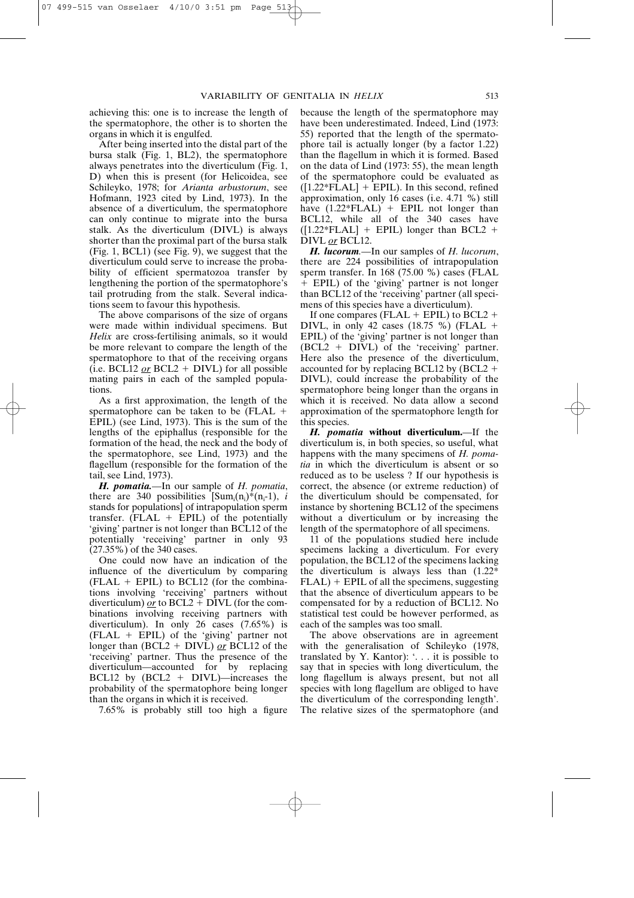achieving this: one is to increase the length of the spermatophore, the other is to shorten the organs in which it is engulfed.

After being inserted into the distal part of the bursa stalk (Fig. 1, BL2), the spermatophore always penetrates into the diverticulum (Fig. 1, D) when this is present (for Helicoidea, see Schileyko, 1978; for *Arianta arbustorum*, see Hofmann, 1923 cited by Lind, 1973). In the absence of a diverticulum, the spermatophore can only continue to migrate into the bursa stalk. As the diverticulum (DIVL) is always shorter than the proximal part of the bursa stalk (Fig. 1, BCL1) (see Fig. 9), we suggest that the diverticulum could serve to increase the probability of efficient spermatozoa transfer by lengthening the portion of the spermatophore's tail protruding from the stalk. Several indications seem to favour this hypothesis.

The above comparisons of the size of organs were made within individual specimens. But *Helix* are cross-fertilising animals, so it would be more relevant to compare the length of the spermatophore to that of the receiving organs  $(i.e. BCL12 or BCL2 + DIVL)$  for all possible mating pairs in each of the sampled populations.

As a first approximation, the length of the spermatophore can be taken to be  $(FLAL +$ EPIL) (see Lind, 1973). This is the sum of the lengths of the epiphallus (responsible for the formation of the head, the neck and the body of the spermatophore, see Lind, 1973) and the flagellum (responsible for the formation of the tail, see Lind, 1973).

*H. pomatia.*—In our sample of *H. pomatia*, there are 340 possibilities  $\text{Sum}_{i}(n_i) * (n_i-1)$ , *i* stands for populations] of intrapopulation sperm transfer. (FLAL  $+$  EPIL) of the potentially 'giving' partner is not longer than BCL12 of the potentially 'receiving' partner in only 93 (27.35%) of the 340 cases.

One could now have an indication of the influence of the diverticulum by comparing  $(FLAL + EPIL)$  to BCL12 (for the combinations involving 'receiving' partners without diverticulum)  $\rho r$  to BCL2 + DIVL (for the combinations involving receiving partners with diverticulum). In only 26 cases (7.65%) is (FLAL EPIL) of the 'giving' partner not longer than (BCL2 + DIVL) <u>or</u> BCL12 of the 'receiving' partner. Thus the presence of the diverticulum—accounted for by replacing BCL12 by  $(BCL2 + DIVL)$ —increases the probability of the spermatophore being longer than the organs in which it is received.

7.65% is probably still too high a figure

because the length of the spermatophore may have been underestimated. Indeed, Lind (1973: 55) reported that the length of the spermatophore tail is actually longer (by a factor 1.22) than the flagellum in which it is formed. Based on the data of Lind (1973: 55), the mean length of the spermatophore could be evaluated as  $([1.22*FLAL] + EPIL)$ . In this second, refined approximation, only 16 cases (i.e. 4.71 %) still have  $(1.22*FLAL)$  + EPIL not longer than BCL12, while all of the 340 cases have  $([1.22*FLAL] + EPIL)$  longer than BCL2 + DIVL *or* BCL12.

*H. lucorum.—*In our samples of *H. lucorum*, there are 224 possibilities of intrapopulation sperm transfer. In 168 (75.00 %) cases (FLAL EPIL) of the 'giving' partner is not longer than BCL12 of the 'receiving' partner (all specimens of this species have a diverticulum).

If one compares (FLAL  $+$  EPIL) to BCL2  $+$ DIVL, in only 42 cases (18.75 %) (FLAL EPIL) of the 'giving' partner is not longer than  $(BCL2 + DIVL)$  of the 'receiving' partner. Here also the presence of the diverticulum, accounted for by replacing BCL12 by  $(BCL2 +$ DIVL), could increase the probability of the spermatophore being longer than the organs in which it is received. No data allow a second approximation of the spermatophore length for this species.

*H. pomatia* **without diverticulum.**—If the diverticulum is, in both species, so useful, what happens with the many specimens of *H. pomatia* in which the diverticulum is absent or so reduced as to be useless ? If our hypothesis is correct, the absence (or extreme reduction) of the diverticulum should be compensated, for instance by shortening BCL12 of the specimens without a diverticulum or by increasing the length of the spermatophore of all specimens.

11 of the populations studied here include specimens lacking a diverticulum. For every population, the BCL12 of the specimens lacking the diverticulum is always less than (1.22\*  $FLAL$ ) +  $EPIL$  of all the specimens, suggesting that the absence of diverticulum appears to be compensated for by a reduction of BCL12. No statistical test could be however performed, as each of the samples was too small.

The above observations are in agreement with the generalisation of Schileyko (1978, translated by Y. Kantor): '. . . it is possible to say that in species with long diverticulum, the long flagellum is always present, but not all species with long flagellum are obliged to have the diverticulum of the corresponding length'. The relative sizes of the spermatophore (and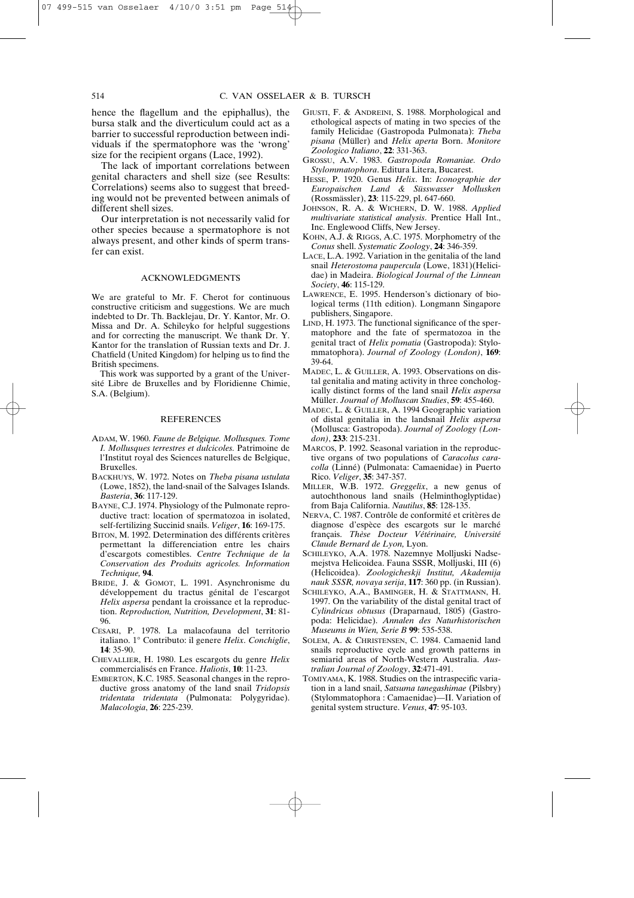hence the flagellum and the epiphallus), the bursa stalk and the diverticulum could act as a barrier to successful reproduction between individuals if the spermatophore was the 'wrong' size for the recipient organs (Lace, 1992).

The lack of important correlations between genital characters and shell size (see Results: Correlations) seems also to suggest that breeding would not be prevented between animals of different shell sizes.

Our interpretation is not necessarily valid for other species because a spermatophore is not always present, and other kinds of sperm transfer can exist.

#### ACKNOWLEDGMENTS

We are grateful to Mr. F. Cherot for continuous constructive criticism and suggestions. We are much indebted to Dr. Th. Backlejau, Dr. Y. Kantor, Mr. O. Missa and Dr. A. Schileyko for helpful suggestions and for correcting the manuscript. We thank Dr. Y. Kantor for the translation of Russian texts and Dr. J. Chatfield (United Kingdom) for helping us to find the British specimens.

This work was supported by a grant of the Université Libre de Bruxelles and by Floridienne Chimie, S.A. (Belgium).

# **REFERENCES**

- ADAM, W. 1960. *Faune de Belgique. Mollusques. Tome I. Mollusques terrestres et dulcicoles.* Patrimoine de l'Institut royal des Sciences naturelles de Belgique, Bruxelles.
- BACKHUYS, W. 1972. Notes on *Theba pisana ustulata* (Lowe, 1852), the land-snail of the Salvages Islands. *Basteria*, **36**: 117-129.
- BAYNE, C.J. 1974. Physiology of the Pulmonate reproductive tract: location of spermatozoa in isolated, self-fertilizing Succinid snails. *Veliger*, **16**: 169-175.
- BITON, M. 1992. Determination des différents critères permettant la differenciation entre les chairs d'escargots comestibles. *Centre Technique de la Conservation des Produits agricoles. Information Technique,* **94**.
- BRIDE, J. & GOMOT, L. 1991. Asynchronisme du développement du tractus génital de l'escargot *Helix aspersa* pendant la croissance et la reproduction. *Reproduction, Nutrition, Development*, **31**: 81- 96.
- CESARI, P. 1978. La malacofauna del territorio italiano. 1° Contributo: il genere *Helix*. *Conchiglie*, **14**: 35-90.
- CHEVALLIER, H. 1980. Les escargots du genre *Helix* commercialisés en France. *Haliotis*, **10**: 11-23.
- EMBERTON, K.C. 1985. Seasonal changes in the reproductive gross anatomy of the land snail *Tridopsis tridentata tridentata* (Pulmonata: Polygyridae). *Malacologia*, **26**: 225-239.
- GIUSTI, F. & ANDREINI, S. 1988. Morphological and ethological aspects of mating in two species of the family Helicidae (Gastropoda Pulmonata): *Theba pisana* (Müller) and *Helix aperta* Born. *Monitore Zoologico Italiano*, **22**: 331-363.
- GROSSU, A.V. 1983. *Gastropoda Romaniae. Ordo Stylommatophora*. Editura Litera, Bucarest.
- HESSE, P. 1920. Genus *Helix*. In: *Iconographie der Europaischen Land & Süsswasser Mollusken* (Rossmässler), **23**: 115-229, pl. 647-660.
- JOHNSON, R. A. & WICHERN, D. W. 1988. *Applied multivariate statistical analysis*. Prentice Hall Int., Inc. Englewood Cliffs, New Jersey.
- KOHN, A.J. & RIGGS, A.C. 1975. Morphometry of the *Conus* shell. *Systematic Zoology*, **24**: 346-359.
- LACE, L.A. 1992. Variation in the genitalia of the land snail *Heterostoma paupercula* (Lowe, 1831)(Helicidae) in Madeira. *Biological Journal of the Linnean Society*, **46**: 115-129.
- LAWRENCE, E. 1995. Henderson's dictionary of biological terms (11th edition). Longmann Singapore publishers, Singapore.
- LIND, H. 1973. The functional significance of the spermatophore and the fate of spermatozoa in the genital tract of *Helix pomatia* (Gastropoda): Stylommatophora). *Journal of Zoology (London)*, **169**: 39-64.
- MADEC, L. & GUILLER, A. 1993. Observations on distal genitalia and mating activity in three conchologically distinct forms of the land snail *Helix aspersa* Müller. *Journal of Molluscan Studies*, **59**: 455-460.
- MADEC, L. & GUILLER, A. 1994 Geographic variation of distal genitalia in the landsnail *Helix aspersa* (Mollusca: Gastropoda). *Journal of Zoology (London)*, **233**: 215-231.
- MARCOS, P. 1992. Seasonal variation in the reproductive organs of two populations of *Caracolus caracolla* (Linné) (Pulmonata: Camaenidae) in Puerto Rico. *Veliger*, **35**: 347-357.
- MILLER, W.B. 1972. *Greggelix*, a new genus of autochthonous land snails (Helminthoglyptidae) from Baja California. *Nautilus*, **85**: 128-135.
- NERVA, C. 1987. Contrôle de conformité et critères de diagnose d'espèce des escargots sur le marché français. *Thèse Docteur Vétérinaire, Université Claude Bernard de Lyon,* Lyon.
- SCHILEYKO, A.A. 1978. Nazemnye Molljuski Nadsemejstva Helicoidea. Fauna SSSR, Molljuski, III (6) (Helicoidea). *Zoologicheskji Institut, Akademija nauk SSSR, novaya serija*, **117**: 360 pp. (in Russian).
- SCHILEYKO, A.A., BAMINGER, H. & STATTMANN, H. 1997. On the variability of the distal genital tract of *Cylindricus obtusus* (Draparnaud, 1805) (Gastropoda: Helicidae). *Annalen des Naturhistorischen Museums in Wien, Serie B* **99**: 535-538.
- SOLEM, A. & CHRISTENSEN, C. 1984. Camaenid land snails reproductive cycle and growth patterns in semiarid areas of North-Western Australia. *Australian Journal of Zoology*, **32**:471-491.
- TOMIYAMA, K. 1988. Studies on the intraspecific variation in a land snail, *Satsuma tanegashimae* (Pilsbry) (Stylommatophora : Camaenidae)—II. Variation of genital system structure. *Venus*, **47**: 95-103.